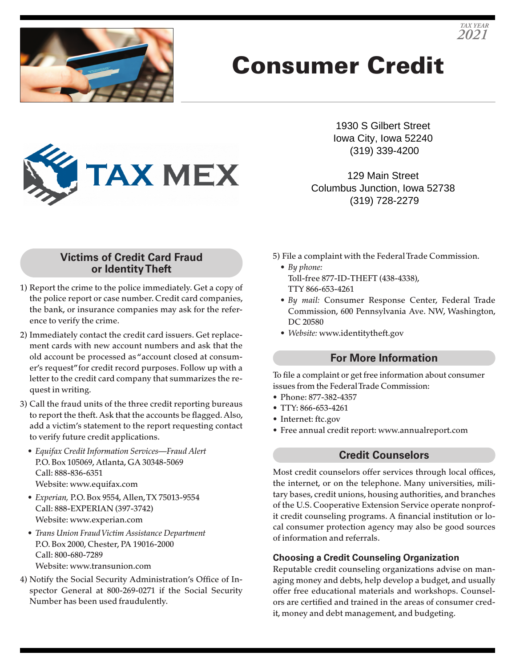

# Consumer Credit



1930 S Gilbert Street Iowa City, Iowa 52240 (319) 339-4200

129 Main Street Columbus Junction, Iowa 52738 (319) 728-2279

#### **Victims of Credit Card Fraud or Identity Theft**

- 1) Report the crime to the police immediately. Get a copy of the police report or case number. Credit card companies, the bank, or insurance companies may ask for the reference to verify the crime.
- 2) Immediately contact the credit card issuers. Get replacement cards with new account numbers and ask that the old account be processed as "account closed at consumer's request" for credit record purposes. Follow up with a letter to the credit card company that summarizes the request in writing.
- 3) Call the fraud units of the three credit reporting bureaus to report the theft. Ask that the accounts be flagged. Also, add a victim's statement to the report requesting contact to verify future credit applications.
	- *Equifax Credit Information Services—Fraud Alert* P.O. Box 105069, Atlanta, GA 30348-5069 Call: 888-836-6351 Website: www.equifax.com
	- *Experian,* P.O. Box 9554, Allen, TX 75013-9554 Call: 888-EXPERIAN (397-3742) Website: www.experian.com
	- *Trans Union Fraud Victim Assistance Department* P.O. Box 2000, Chester, PA 19016-2000 Call: 800-680-7289 Website: www.transunion.com
- 4) Notify the Social Security Administration's Office of Inspector General at 800-269-0271 if the Social Security Number has been used fraudulently.
- 5) File a complaint with the Federal Trade Commission.
	- *By phone:* Toll-free 877-ID-THEFT (438-4338), TTY 866-653-4261
	- *By mail:* Consumer Response Center, Federal Trade Commission, 600 Pennsylvania Ave. NW, Washington, DC 20580
	- *Website:* www.identitytheft.gov

## **For More Information**

To file a complaint or get free information about consumer issues from the Federal Trade Commission:

- Phone: 877-382-4357
- TTY: 866-653-4261
- Internet: ftc.gov
- Free annual credit report: www.annualreport.com

### **Credit Counselors**

Most credit counselors offer services through local offices, the internet, or on the telephone. Many universities, military bases, credit unions, housing authorities, and branches of the U.S. Cooperative Extension Service operate nonprofit credit counseling programs. A financial institution or local consumer protection agency may also be good sources of information and referrals.

#### **Choosing a Credit Counseling Organization**

Reputable credit counseling organizations advise on managing money and debts, help develop a budget, and usually offer free educational materials and workshops. Counselors are certified and trained in the areas of consumer credit, money and debt management, and budgeting.